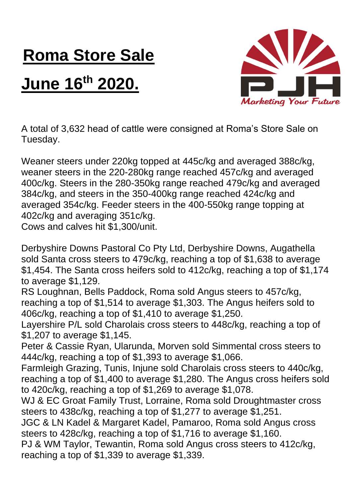## **Roma Store Sale**

## **June 16th 2020.**



A total of 3,632 head of cattle were consigned at Roma's Store Sale on Tuesday.

Weaner steers under 220kg topped at 445c/kg and averaged 388c/kg, weaner steers in the 220-280kg range reached 457c/kg and averaged 400c/kg. Steers in the 280-350kg range reached 479c/kg and averaged 384c/kg, and steers in the 350-400kg range reached 424c/kg and averaged 354c/kg. Feeder steers in the 400-550kg range topping at 402c/kg and averaging 351c/kg. Cows and calves hit \$1,300/unit.

Derbyshire Downs Pastoral Co Pty Ltd, Derbyshire Downs, Augathella sold Santa cross steers to 479c/kg, reaching a top of \$1,638 to average \$1,454. The Santa cross heifers sold to 412c/kg, reaching a top of \$1,174 to average \$1,129.

RS Loughnan, Bells Paddock, Roma sold Angus steers to 457c/kg, reaching a top of \$1,514 to average \$1,303. The Angus heifers sold to 406c/kg, reaching a top of \$1,410 to average \$1,250.

Layershire P/L sold Charolais cross steers to 448c/kg, reaching a top of \$1,207 to average \$1,145.

Peter & Cassie Ryan, Ularunda, Morven sold Simmental cross steers to 444c/kg, reaching a top of \$1,393 to average \$1,066.

Farmleigh Grazing, Tunis, Injune sold Charolais cross steers to 440c/kg, reaching a top of \$1,400 to average \$1,280. The Angus cross heifers sold to 420c/kg, reaching a top of \$1,269 to average \$1,078.

WJ & EC Groat Family Trust, Lorraine, Roma sold Droughtmaster cross steers to 438c/kg, reaching a top of \$1,277 to average \$1,251.

JGC & LN Kadel & Margaret Kadel, Pamaroo, Roma sold Angus cross steers to 428c/kg, reaching a top of \$1,716 to average \$1,160.

PJ & WM Taylor, Tewantin, Roma sold Angus cross steers to 412c/kg, reaching a top of \$1,339 to average \$1,339.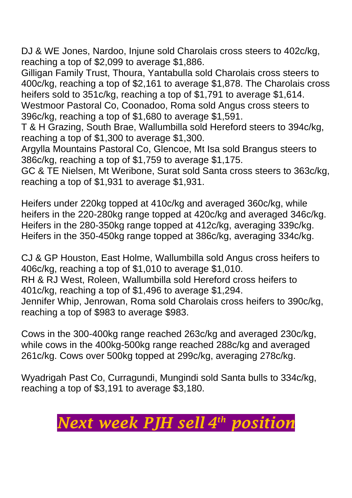DJ & WE Jones, Nardoo, Injune sold Charolais cross steers to 402c/kg, reaching a top of \$2,099 to average \$1,886.

Gilligan Family Trust, Thoura, Yantabulla sold Charolais cross steers to 400c/kg, reaching a top of \$2,161 to average \$1,878. The Charolais cross heifers sold to 351c/kg, reaching a top of \$1,791 to average \$1,614. Westmoor Pastoral Co, Coonadoo, Roma sold Angus cross steers to 396c/kg, reaching a top of \$1,680 to average \$1,591.

T & H Grazing, South Brae, Wallumbilla sold Hereford steers to 394c/kg, reaching a top of \$1,300 to average \$1,300.

Argylla Mountains Pastoral Co, Glencoe, Mt Isa sold Brangus steers to 386c/kg, reaching a top of \$1,759 to average \$1,175.

GC & TE Nielsen, Mt Weribone, Surat sold Santa cross steers to 363c/kg, reaching a top of \$1,931 to average \$1,931.

Heifers under 220kg topped at 410c/kg and averaged 360c/kg, while heifers in the 220-280kg range topped at 420c/kg and averaged 346c/kg. Heifers in the 280-350kg range topped at 412c/kg, averaging 339c/kg. Heifers in the 350-450kg range topped at 386c/kg, averaging 334c/kg.

CJ & GP Houston, East Holme, Wallumbilla sold Angus cross heifers to 406c/kg, reaching a top of \$1,010 to average \$1,010. RH & RJ West, Roleen, Wallumbilla sold Hereford cross heifers to 401c/kg, reaching a top of \$1,496 to average \$1,294. Jennifer Whip, Jenrowan, Roma sold Charolais cross heifers to 390c/kg, reaching a top of \$983 to average \$983.

Cows in the 300-400kg range reached 263c/kg and averaged 230c/kg, while cows in the 400kg-500kg range reached 288c/kg and averaged 261c/kg. Cows over 500kg topped at 299c/kg, averaging 278c/kg.

Wyadrigah Past Co, Curragundi, Mungindi sold Santa bulls to 334c/kg, reaching a top of \$3,191 to average \$3,180.

## *Next week PJH sell 4 th position*